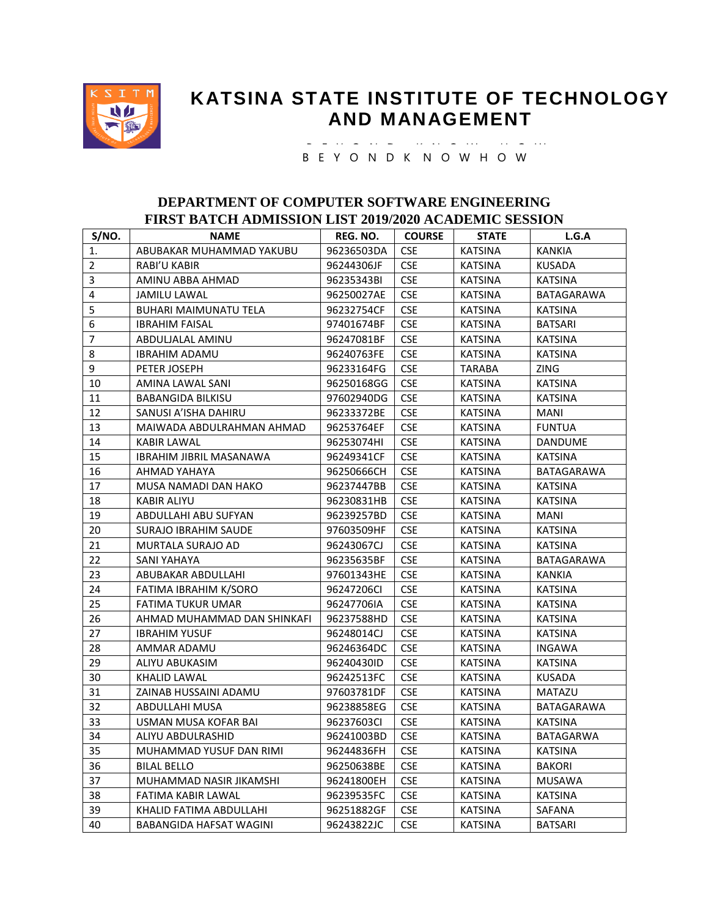

## **KATSINA STATE INSTITUTE OF TECHNOLOGY AND MANAGEMENT**

 B E Y O N D K N O W H O W B E Y O N D K N O W - H O W

## **DEPARTMENT OF COMPUTER SOFTWARE ENGINEERING FIRST BATCH ADMISSION LIST 2019/2020 ACADEMIC SESSION**

| S/NO.                   | <b>NAME</b>                    | REG. NO.   | <b>COURSE</b> | <b>STATE</b>   | L.G.A             |
|-------------------------|--------------------------------|------------|---------------|----------------|-------------------|
| 1.                      | ABUBAKAR MUHAMMAD YAKUBU       | 96236503DA | <b>CSE</b>    | <b>KATSINA</b> | <b>KANKIA</b>     |
| $\overline{2}$          | RABI'U KABIR                   | 96244306JF | <b>CSE</b>    | <b>KATSINA</b> | <b>KUSADA</b>     |
| 3                       | AMINU ABBA AHMAD               | 96235343BI | <b>CSE</b>    | <b>KATSINA</b> | <b>KATSINA</b>    |
| $\overline{\mathbf{4}}$ | <b>JAMILU LAWAL</b>            | 96250027AE | <b>CSE</b>    | <b>KATSINA</b> | BATAGARAWA        |
| 5                       | <b>BUHARI MAIMUNATU TELA</b>   | 96232754CF | <b>CSE</b>    | <b>KATSINA</b> | <b>KATSINA</b>    |
| 6                       | <b>IBRAHIM FAISAL</b>          | 97401674BF | <b>CSE</b>    | <b>KATSINA</b> | <b>BATSARI</b>    |
| $\overline{7}$          | ABDULJALAL AMINU               | 96247081BF | <b>CSE</b>    | <b>KATSINA</b> | <b>KATSINA</b>    |
| 8                       | <b>IBRAHIM ADAMU</b>           | 96240763FE | <b>CSE</b>    | <b>KATSINA</b> | <b>KATSINA</b>    |
| 9                       | PETER JOSEPH                   | 96233164FG | <b>CSE</b>    | <b>TARABA</b>  | <b>ZING</b>       |
| 10                      | AMINA LAWAL SANI               | 96250168GG | <b>CSE</b>    | <b>KATSINA</b> | <b>KATSINA</b>    |
| 11                      | <b>BABANGIDA BILKISU</b>       | 97602940DG | <b>CSE</b>    | <b>KATSINA</b> | <b>KATSINA</b>    |
| 12                      | SANUSI A'ISHA DAHIRU           | 96233372BE | <b>CSE</b>    | <b>KATSINA</b> | <b>MANI</b>       |
| 13                      | MAIWADA ABDULRAHMAN AHMAD      | 96253764EF | <b>CSE</b>    | <b>KATSINA</b> | <b>FUNTUA</b>     |
| 14                      | <b>KABIR LAWAL</b>             | 96253074HI | <b>CSE</b>    | <b>KATSINA</b> | <b>DANDUME</b>    |
| 15                      | IBRAHIM JIBRIL MASANAWA        | 96249341CF | <b>CSE</b>    | <b>KATSINA</b> | <b>KATSINA</b>    |
| 16                      | AHMAD YAHAYA                   | 96250666CH | <b>CSE</b>    | <b>KATSINA</b> | <b>BATAGARAWA</b> |
| 17                      | MUSA NAMADI DAN HAKO           | 96237447BB | <b>CSE</b>    | <b>KATSINA</b> | <b>KATSINA</b>    |
| 18                      | KABIR ALIYU                    | 96230831HB | <b>CSE</b>    | <b>KATSINA</b> | <b>KATSINA</b>    |
| 19                      | ABDULLAHI ABU SUFYAN           | 96239257BD | <b>CSE</b>    | <b>KATSINA</b> | <b>MANI</b>       |
| 20                      | <b>SURAJO IBRAHIM SAUDE</b>    | 97603509HF | <b>CSE</b>    | <b>KATSINA</b> | <b>KATSINA</b>    |
| 21                      | MURTALA SURAJO AD              | 96243067CJ | <b>CSE</b>    | <b>KATSINA</b> | <b>KATSINA</b>    |
| 22                      | SANI YAHAYA                    | 96235635BF | <b>CSE</b>    | <b>KATSINA</b> | BATAGARAWA        |
| 23                      | ABUBAKAR ABDULLAHI             | 97601343HE | <b>CSE</b>    | KATSINA        | KANKIA            |
| 24                      | FATIMA IBRAHIM K/SORO          | 96247206CI | <b>CSE</b>    | <b>KATSINA</b> | <b>KATSINA</b>    |
| 25                      | FATIMA TUKUR UMAR              | 96247706IA | <b>CSE</b>    | <b>KATSINA</b> | <b>KATSINA</b>    |
| 26                      | AHMAD MUHAMMAD DAN SHINKAFI    | 96237588HD | <b>CSE</b>    | <b>KATSINA</b> | <b>KATSINA</b>    |
| 27                      | <b>IBRAHIM YUSUF</b>           | 96248014CJ | <b>CSE</b>    | <b>KATSINA</b> | <b>KATSINA</b>    |
| 28                      | AMMAR ADAMU                    | 96246364DC | <b>CSE</b>    | <b>KATSINA</b> | <b>INGAWA</b>     |
| 29                      | ALIYU ABUKASIM                 | 96240430ID | <b>CSE</b>    | <b>KATSINA</b> | <b>KATSINA</b>    |
| 30                      | KHALID LAWAL                   | 96242513FC | <b>CSE</b>    | <b>KATSINA</b> | <b>KUSADA</b>     |
| 31                      | ZAINAB HUSSAINI ADAMU          | 97603781DF | <b>CSE</b>    | <b>KATSINA</b> | MATAZU            |
| 32                      | ABDULLAHI MUSA                 | 96238858EG | <b>CSE</b>    | <b>KATSINA</b> | BATAGARAWA        |
| 33                      | USMAN MUSA KOFAR BAI           | 96237603CI | <b>CSE</b>    | <b>KATSINA</b> | <b>KATSINA</b>    |
| 34                      | ALIYU ABDULRASHID              | 96241003BD | <b>CSE</b>    | <b>KATSINA</b> | <b>BATAGARWA</b>  |
| 35                      | MUHAMMAD YUSUF DAN RIMI        | 96244836FH | <b>CSE</b>    | <b>KATSINA</b> | <b>KATSINA</b>    |
| 36                      | <b>BILAL BELLO</b>             | 96250638BE | <b>CSE</b>    | <b>KATSINA</b> | <b>BAKORI</b>     |
| 37                      | MUHAMMAD NASIR JIKAMSHI        | 96241800EH | <b>CSE</b>    | <b>KATSINA</b> | <b>MUSAWA</b>     |
| 38                      | FATIMA KABIR LAWAL             | 96239535FC | <b>CSE</b>    | <b>KATSINA</b> | <b>KATSINA</b>    |
| 39                      | KHALID FATIMA ABDULLAHI        | 96251882GF | <b>CSE</b>    | <b>KATSINA</b> | SAFANA            |
| 40                      | <b>BABANGIDA HAFSAT WAGINI</b> | 96243822JC | <b>CSE</b>    | <b>KATSINA</b> | <b>BATSARI</b>    |